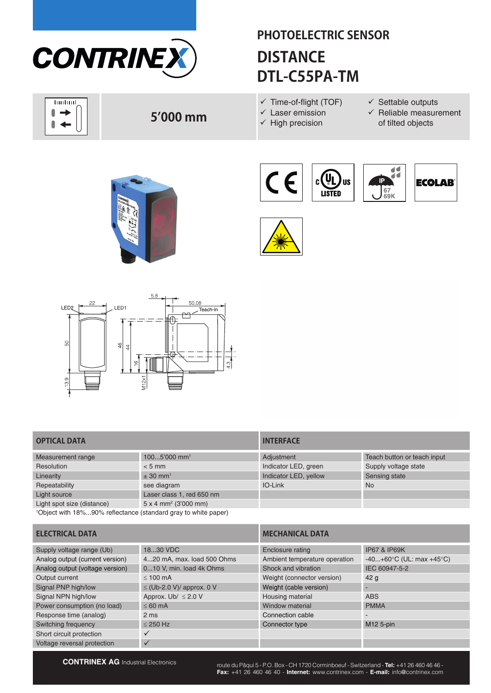

## **PHOTOELECTRIC SENSOR DISTANCE DTL-C55PA-TM**

**Trutunt** l  $\rightarrow$  $\blacksquare$  $\leftarrow$ 

## **5'000 mm**

- $\checkmark$  Time-of-flight (TOF)
- $\checkmark$  Laser emission
- $\checkmark$  High precision
- $\checkmark$  Settable outputs
- $\checkmark$  Reliable measurement of tilted objects











### **OPTICAL DATA**

| Measurement range                                                          | 1005'000 mm <sup>1</sup>                | Adjustment            | Teach button or teach input |
|----------------------------------------------------------------------------|-----------------------------------------|-----------------------|-----------------------------|
| Resolution                                                                 | $< 5$ mm                                | Indicator LED, green  | Supply voltage state        |
| Linearity                                                                  | $\pm$ 30 mm <sup>1</sup>                | Indicator LED, yellow | Sensing state               |
| Repeatability                                                              | see diagram                             | IO-Link               | <b>No</b>                   |
| Light source                                                               | Laser class 1, red 650 nm               |                       |                             |
| Light spot size (distance)                                                 | $5 \times 4$ mm <sup>2</sup> (3'000 mm) |                       |                             |
| <sup>1</sup> Object with 18%90% reflectance (standard gray to white paper) |                                         |                       |                             |

| <b>INTERFACE</b>      |                             |
|-----------------------|-----------------------------|
| Adjustment            | Teach button or teach input |
| Indicator LED, green  | Supply voltage state        |
| Indicator LED, yellow | Sensing state               |
| IO-Link               | <b>No</b>                   |
|                       |                             |
|                       |                             |

| <b>ELECTRICAL DATA</b>          |                                | <b>MECHANICAL DATA</b>        |                                |  |
|---------------------------------|--------------------------------|-------------------------------|--------------------------------|--|
| Supply voltage range (Ub)       | 1830 VDC                       | Enclosure rating              | <b>IP67 &amp; IP69K</b>        |  |
| Analog output (current version) | 420 mA, max. load 500 Ohms     | Ambient temperature operation | $-40+60$ °C (UL: max $+45$ °C) |  |
| Analog output (voltage version) | 010 V, min. load 4k Ohms       | Shock and vibration           | IEC 60947-5-2                  |  |
| Output current                  | $< 100$ mA                     | Weight (connector version)    | 42 <sub>g</sub>                |  |
| Signal PNP high/low             | $\leq$ (Ub-2.0 V)/ approx. 0 V | Weight (cable version)        |                                |  |
| Signal NPN high/low             | Approx. Ub/ $\leq$ 2.0 V       | Housing material              | <b>ABS</b>                     |  |
| Power consumption (no load)     | $< 60 \text{ mA}$              | Window material               | <b>PMMA</b>                    |  |
| Response time (analog)          | 2 <sub>ms</sub>                | Connection cable              | $\overline{\phantom{0}}$       |  |
| Switching frequency             | $< 250$ Hz                     | Connector type                | M12 5-pin                      |  |
| Short circuit protection        |                                |                               |                                |  |
| Voltage reversal protection     | $\checkmark$                   |                               |                                |  |

**CONTRINEX AG** Industrial Electronics route du Pâqui 5 - P.O. Box - CH 1720 Corminboeuf - Switzerland - **Tel:** +41 26 460 46 46 -**Fax:** +41 26 460 46 40 - **Internet:** www.contrinex.com - **E-mail:** info@contrinex.com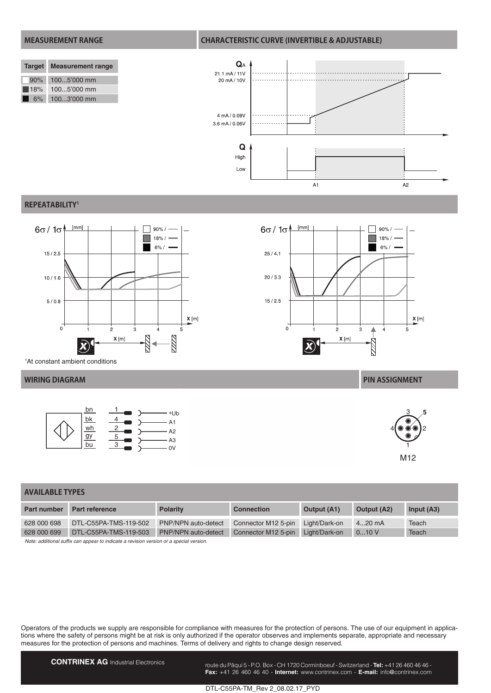### **MEASUREMENT RANGE CHARACTERISTIC CURVE (INVERTIBLE & ADJUSTABLE)**  $\mathbf{Q}_\mathrm{A}$ **Target Measurement range** 21.1 mA/11V 90% 100...5'000 mm 20 mA / 10V 18% 100...5'000 mm 6% 100...3'000 mm 4 mA / 0.09V 3.6 mA / 0.06V  $\mathbf Q$ High Low

#### **REPEATABILITY1**



 $6\sigma/1\sigma$  $[mm]$  $90\% /$  $18% /$ Ħ  $6% /$  $25/4.1$  $20/3.3$  $15/2.5$  $\mathsf{X}\left[\mathsf{m}\right]$  $\overline{0}$  $\overline{2}$  $\overline{3}$  $\blacktriangle$  $\overline{4}$  $X[m]$ Z

 $\overline{A}$ 1

1 At constant ambient conditions



#### **WIRING DIAGRAM PIN ASSIGNMENT**



 $A<sub>2</sub>$ 

| AVAILABLE TYPES |  |  |  |  |  |  |  |  |
|-----------------|--|--|--|--|--|--|--|--|
|-----------------|--|--|--|--|--|--|--|--|

| <b>Part number</b> | Part reference                                                                          | <b>Polarity</b>     | <b>Connection</b>   | <b>Output (A1)</b> | <b>Output (A2)</b> | Input $(A3)$ |  |
|--------------------|-----------------------------------------------------------------------------------------|---------------------|---------------------|--------------------|--------------------|--------------|--|
| 628 000 698        | DTL-C55PA-TMS-119-502                                                                   | PNP/NPN auto-detect | Connector M12 5-pin | Light/Dark-on      | $420$ mA           | Teach        |  |
| 628 000 699        | DTL-C55PA-TMS-119-503                                                                   | PNP/NPN auto-detect | Connector M12 5-pin | Light/Dark-on      | 010V               | Teach        |  |
|                    | Note: additional suffix can appear to indicate a revision version or a special version. |                     |                     |                    |                    |              |  |

Operators of the products we supply are responsible for compliance with measures for the protection of persons. The use of our equipment in applications where the safety of persons might be at risk is only authorized if the operator observes and implements separate, appropriate and necessary measures for the protection of persons and machines. Terms of delivery and rights to change design reserved.

**CONTRINEX AG** Industrial Electronics route du Pâqui 5 - P.O. Box - CH 1720 Corminboeuf - Switzerland - **Tel:** +41 26 460 46 46 -**Fax:** +41 26 460 46 40 - **Internet:** www.contrinex.com - **E-mail:** info@contrinex.com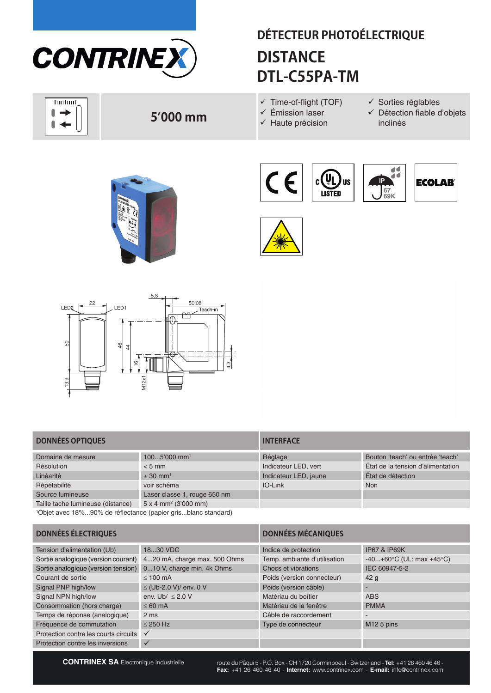

huduul l  $\rightarrow$  $\blacksquare$  $\blacktriangleleft$ 

# **DÉTECTEUR PHOTOÉLECTRIQUE DISTANCE DTL-C55PA-TM**

- $\checkmark$  Time-of-flight (TOF)
- $\checkmark$  Émission laser
- $\checkmark$  Haute précision
- $\checkmark$  Sorties réglables
- $\checkmark$  Détection fiable d'objets inclinés



**5'000 mm**







### **DONNÉES OPTIQUES INTERFACE**

| $1005'000$ mm <sup>1</sup>              | Réglage               | Bouton 'teach' ou entrée 'teach'  |
|-----------------------------------------|-----------------------|-----------------------------------|
| $< 5$ mm                                | Indicateur LED, vert  | État de la tension d'alimentation |
| $\pm$ 30 mm <sup>1</sup>                | Indicateur LED, jaune | État de détection                 |
| voir schéma                             | IO-Link               | <b>Non</b>                        |
| Laser classe 1, rouge 650 nm            |                       |                                   |
| $5 \times 4$ mm <sup>2</sup> (3'000 mm) |                       |                                   |
|                                         |                       |                                   |

1 Objet avec 18%...90% de réflectance (papier gris...blanc standard)

| Réglage               | Bouton 'teach' ou entrée 'teach'  |
|-----------------------|-----------------------------------|
| Indicateur LED, vert  | Etat de la tension d'alimentation |
| Indicateur LED, jaune | État de détection                 |
| IO-Link               | <b>Non</b>                        |
|                       |                                   |
|                       |                                   |

| <b>DONNÉES ÉLECTRIQUES</b>            |                              | <b>DONNÉES MÉCANIQUES</b>    |                                |  |
|---------------------------------------|------------------------------|------------------------------|--------------------------------|--|
| Tension d'alimentation (Ub)           | 1830 VDC                     | Indice de protection         | <b>IP67 &amp; IP69K</b>        |  |
| Sortie analogique (version courant)   | 420 mA, charge max. 500 Ohms | Temp. ambiante d'utilisation | $-40+60$ °C (UL: max $+45$ °C) |  |
| Sortie analogique (version tension)   | 010 V, charge min. 4k Ohms   | Chocs et vibrations          | IEC 60947-5-2                  |  |
| Courant de sortie                     | $< 100$ mA                   | Poids (version connecteur)   | 42 <sub>g</sub>                |  |
| Signal PNP high/low                   | ≤ (Ub-2.0 V)/ env. 0 V       | Poids (version câble)        |                                |  |
| Signal NPN high/low                   | env. Ub/ $\leq$ 2.0 V        | Matériau du boîtier          | <b>ABS</b>                     |  |
| Consommation (hors charge)            | $<60$ mA                     | Matériau de la fenêtre       | <b>PMMA</b>                    |  |
| Temps de réponse (analogique)         | 2 <sub>ms</sub>              | Câble de raccordement        |                                |  |
| Fréquence de commutation              | $< 250$ Hz                   | Type de connecteur           | M <sub>12</sub> 5 pins         |  |
| Protection contre les courts circuits | $\checkmark$                 |                              |                                |  |
| Protection contre les inversions      | $\checkmark$                 |                              |                                |  |

**CONTRINEX SA** Electronique Industrielle route du Pâqui 5 - P.O. Box - CH 1720 Corminboeuf - Switzerland - **Tel:** +41 26 460 46 46 -**Fax:** +41 26 460 46 40 - **Internet:** www.contrinex.com - **E-mail:** info@contrinex.com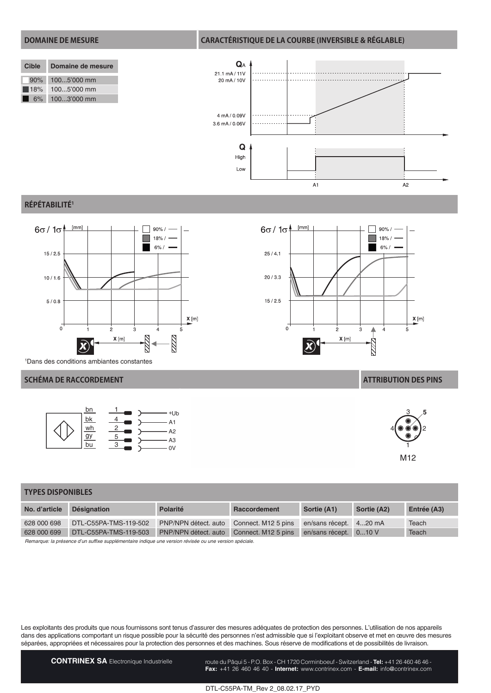### **DOMAINE DE MESURE CARACTÉRISTIQUE DE LA COURBE (INVERSIBLE & RÉGLABLE)**  $Q_A$ **Cible Domaine de mesure** 21.1 mA/11V 90% 100...5'000 mm 20 mA / 10V 18% 100...5'000 mm 6% 100...3'000 mm 4 mA / 0.09V 3.6 mA / 0.06V  $\mathbf Q$ High Low

#### **RÉPÉTABILITÉ1**



1 Dans des conditions ambiantes constantes

#### **SCHÉMA DE RACCORDEMENT ATTRIBUTION DES PINS**

![](_page_3_Figure_5.jpeg)

![](_page_3_Figure_6.jpeg)

 $\overline{A}$ 1

 $A<sub>2</sub>$ 

![](_page_3_Figure_8.jpeg)

| <b>TYPES DISPONIBLES</b>                                                                               |                       |                      |                     |                       |             |             |
|--------------------------------------------------------------------------------------------------------|-----------------------|----------------------|---------------------|-----------------------|-------------|-------------|
| No. d'article                                                                                          | <b>Désignation</b>    | Polarité             | Raccordement        | Sortie (A1)           | Sortie (A2) | Entrée (A3) |
| 628 000 698                                                                                            | DTL-C55PA-TMS-119-502 | PNP/NPN détect, auto | Connect. M12 5 pins | en/sans récept.       | 420 mA      | Teach       |
| 628 000 699                                                                                            | DTL-C55PA-TMS-119-503 | PNP/NPN détect, auto | Connect. M12 5 pins | en/sans récept. 010 V |             | Teach       |
| Remarque: la présence d'un suffixe supplémentaire indique une version révisée ou une version spéciale. |                       |                      |                     |                       |             |             |

Les exploitants des produits que nous fournissons sont tenus d'assurer des mesures adéquates de protection des personnes. L'utilisation de nos appareils dans des applications comportant un risque possible pour la sécurité des personnes n'est admissible que si l'exploitant observe et met en œuvre des mesures séparées, appropriées et nécessaires pour la protection des personnes et des machines. Sous réserve de modifications et de possibilités de livraison.

CONTRINEX SA Electronique Industrielle route du Pâqui 5 - P.O. Box - CH 1720 Corminboeuf - Switzerland - Tel: +41 26 460 46 46 -**Fax:** +41 26 460 46 40 - **Internet:** www.contrinex.com - **E-mail:** info@contrinex.com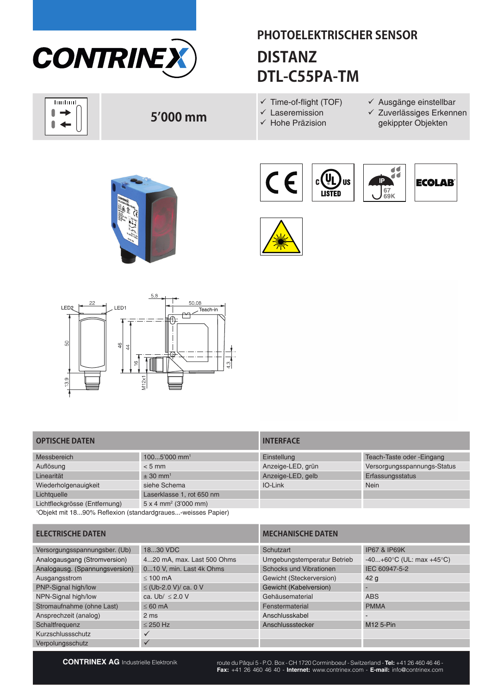![](_page_4_Picture_0.jpeg)

huduul ſ  $\overline{\phantom{a}}$  $\blacktriangleleft$ 

## **PHOTOELEKTRISCHER SENSOR DISTANZ DTL-C55PA-TM**

 $\checkmark$  Time-of-flight (TOF)  $\checkmark$  Laseremission

 $\checkmark$  Hohe Präzision

- $\checkmark$  Ausgänge einstellbar
- $\times$  Zuverlässiges Erkennen gekippter Objekten

![](_page_4_Picture_5.jpeg)

![](_page_4_Picture_6.jpeg)

![](_page_4_Picture_7.jpeg)

![](_page_4_Picture_8.jpeg)

![](_page_4_Picture_9.jpeg)

### **OPTISCHE DATEN INTERFACE**

| Messbereich                   | $1005'000$ mm <sup>1</sup>              | Einstellung       | Teach-Taste oder - Eingang  |
|-------------------------------|-----------------------------------------|-------------------|-----------------------------|
| Auflösung                     | $< 5$ mm                                | Anzeige-LED, grün | Versorgungsspannungs-Status |
| Linearität                    | $\pm$ 30 mm <sup>1</sup>                | Anzeige-LED, gelb | Erfassungsstatus            |
| Wiederholgenauigkeit          | siehe Schema                            | IO-Link           | <b>Nein</b>                 |
| Lichtquelle                   | Laserklasse 1, rot 650 nm               |                   |                             |
| Lichtfleckgrösse (Entfernung) | $5 \times 4$ mm <sup>2</sup> (3'000 mm) |                   |                             |

1 Objekt mit 18...90% Reflexion (standardgraues...-weisses Papier)

| IIN I ENI AVE     |                             |
|-------------------|-----------------------------|
| Einstellung       | Teach-Taste oder - Eingang  |
| Anzeige-LED, grün | Versorgungsspannungs-Status |
| Anzeige-LED, gelb | Erfassungsstatus            |
| IO-Link           | <b>Nein</b>                 |
|                   |                             |
|                   |                             |

**ELECTRISCHE DATEN MECHANISCHE DATEN** Versorgungsspannungsber. (Ub) 18...30 VDC Schutzart Schutzart IP67 & IP69K Analogausgang (Stromversion) 4...20 mA, max. Last 500 Ohms Umgebungstemperatur Betrieb -40...+60°C (UL: max +45°C) Analogausg. (Spannungsversion) 0...10 V, min. Last 4k Ohms Schocks und Vibrationen IEC 60947-5-2 Ausgangsstrom ≤ 100 mA Gewicht (Steckerversion) 42 g PNP-Signal high/low  $\leq$  (Ub-2.0 V)/ ca. 0 V Gewicht (Kabelversion) NPN-Signal high/low ca. Ub/ ≤ 2.0 V Gehäusematerial ABS Stromaufnahme (ohne Last) ≤ 60 mA Fenstermaterial PMMA Ansprechzeit (analog) 2 ms Anschlusskabel - Anschlusskabel - Anschlusskabel - Anschlusskabel - Anschlusskabel Schaltfrequenz ≤ 250 Hz Anschlussstecker M12 5-Pin Kurzschlussschutz<br>Verpolungsschutz v Verpolungsschutz

**CONTRINEX AG** Industrielle Elektronik route du Pâqui 5 - P.O. Box - CH 1720 Corminboeuf - Switzerland - **Tel:** +41 26 460 46 46 -**Fax:** +41 26 460 46 40 - **Internet:** www.contrinex.com - **E-mail:** info@contrinex.com

**5'000 mm**